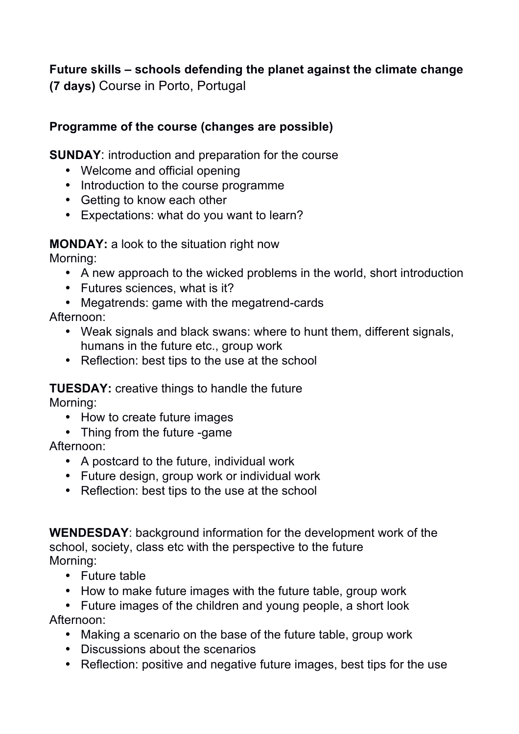## **Future skills – schools defending the planet against the climate change (7 days)** Course in Porto, Portugal

## **Programme of the course (changes are possible)**

**SUNDAY**: introduction and preparation for the course

- Welcome and official opening
- Introduction to the course programme
- Getting to know each other
- Expectations: what do you want to learn?

**MONDAY:** a look to the situation right now

Morning:

- A new approach to the wicked problems in the world, short introduction
- Futures sciences, what is it?
- Megatrends: game with the megatrend-cards

Afternoon:

- Weak signals and black swans: where to hunt them, different signals, humans in the future etc., group work
- Reflection: best tips to the use at the school

## **TUESDAY:** creative things to handle the future

Morning:

- How to create future images
- Thing from the future -game

Afternoon:

- A postcard to the future, individual work
- Future design, group work or individual work
- Reflection: best tips to the use at the school

**WENDESDAY**: background information for the development work of the school, society, class etc with the perspective to the future Morning:

- Future table
- How to make future images with the future table, group work
- Future images of the children and young people, a short look Afternoon:
	- Making a scenario on the base of the future table, group work
	- Discussions about the scenarios
	- Reflection: positive and negative future images, best tips for the use